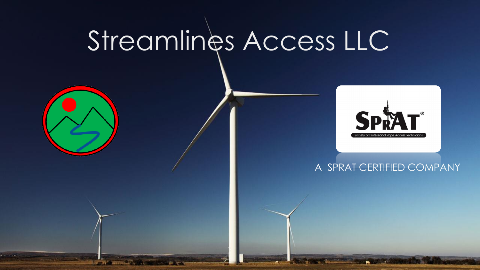# Streamlines Access LLC





#### A SPRAT CERTIFIED COMPANY

**The Company's**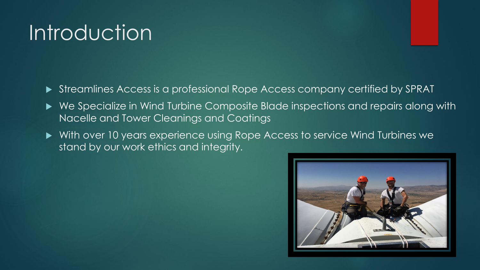### **Introduction**

- Streamlines Access is a professional Rope Access company certified by SPRAT
- We Specialize in Wind Turbine Composite Blade inspections and repairs along with Nacelle and Tower Cleanings and Coatings
- With over 10 years experience using Rope Access to service Wind Turbines we stand by our work ethics and integrity.

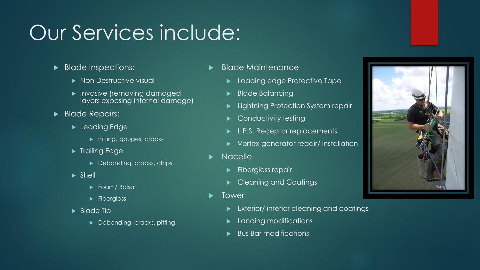### Our Services include:

- Blade Inspections:
	- Non Destructive visual
	- **Invasive (removing damaged)** layers exposing internal damage)
- Blade Repairs:
	- ▶ Leading Edge
		- Pitting, gouges, cracks
	- **Figure** Trailing Edge
		- Debonding, cracks, chips
	- $\blacktriangleright$  Shell
		- ▶ Foam/ Balsa
		- $\blacktriangleright$  Fiberglass
	- Blade Tip
		- ▶ Debonding, cracks, pitting,
- Blade Maintenance
	- **Leading edge Protective Tape**
	- Blade Balancing
	- Lightning Protection System repair
	- Conductivity testing
	- ► L.P.S. Receptor replacements
	- Vortex generator repair/ installation
- **Nacelle** 
	- $\blacktriangleright$  Fiberglass repair
	- Cleaning and Coatings
- Tower
	- Exterior/ interior cleaning and coatings
	- Landing modifications
	- Bus Bar modifications

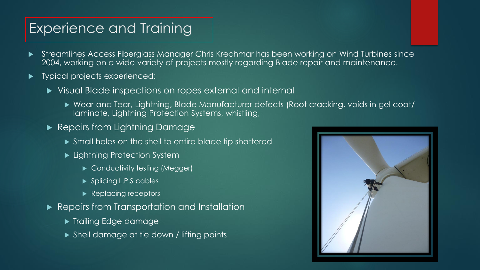#### Experience and Training

- Streamlines Access Fiberglass Manager Chris Krechmar has been working on Wind Turbines since 2004, working on a wide variety of projects mostly regarding Blade repair and maintenance.
- Typical projects experienced:
	- Visual Blade inspections on ropes external and internal
		- Wear and Tear, Lightning, Blade Manufacturer defects (Root cracking, voids in gel coat/ laminate, Lightning Protection Systems, whistling,
	- Repairs from Lightning Damage
		- Small holes on the shell to entire blade tip shattered
		- ► Lightning Protection System
			- ▶ Conductivity testing (Megger)
			- ▶ Splicing L.P.S cables
			- Replacing receptors
	- Repairs from Transportation and Installation
		- **Trailing Edge damage**
		- ▶ Shell damage at tie down / lifting points

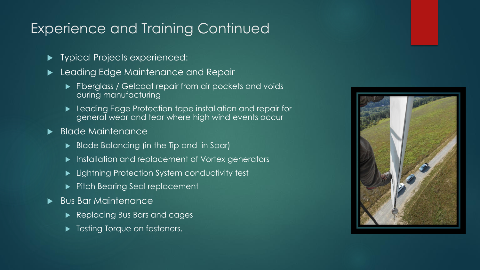### Experience and Training Continued

- **Figure 1** Typical Projects experienced:
- **Leading Edge Maintenance and Repair** 
	- Fiberglass / Gelcoat repair from air pockets and voids during manufacturing
	- **Leading Edge Protection tape installation and repair for** general wear and tear where high wind events occur
- Blade Maintenance
	- Blade Balancing (in the Tip and in Spar)
	- **Installation and replacement of Vortex generators**
	- ► Lightning Protection System conductivity test
	- **Pitch Bearing Seal replacement**
- Bus Bar Maintenance
	- Replacing Bus Bars and cages
	- Testing Torque on fasteners.

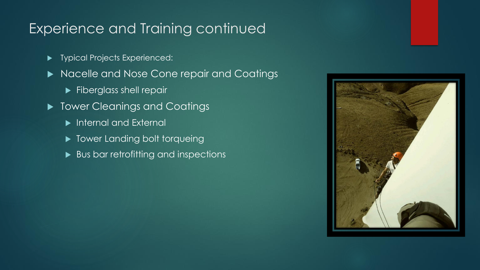#### Experience and Training continued

- **Typical Projects Experienced:**
- Nacelle and Nose Cone repair and Coatings
	- Fiberglass shell repair
- $\blacktriangleright$  Tower Cleanings and Coatings
	- **Internal and External**
	- ▶ Tower Landing bolt torqueing
	- Bus bar retrofitting and inspections